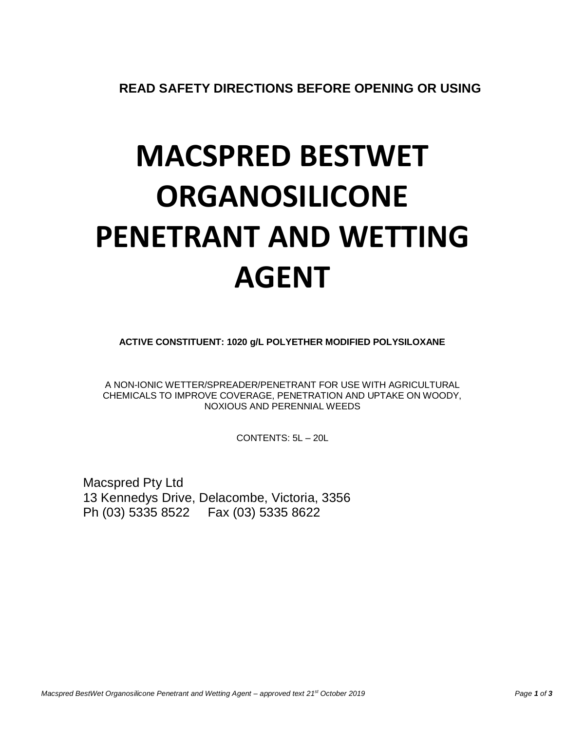**READ SAFETY DIRECTIONS BEFORE OPENING OR USING**

# **MACSPRED BESTWET ORGANOSILICONE PENETRANT AND WETTING AGENT**

**ACTIVE CONSTITUENT: 1020 g/L POLYETHER MODIFIED POLYSILOXANE**

A NON-IONIC WETTER/SPREADER/PENETRANT FOR USE WITH AGRICULTURAL CHEMICALS TO IMPROVE COVERAGE, PENETRATION AND UPTAKE ON WOODY, NOXIOUS AND PERENNIAL WEEDS

CONTENTS: 5L – 20L

Macspred Pty Ltd 13 Kennedys Drive, Delacombe, Victoria, 3356 Ph (03) 5335 8522 Fax (03) 5335 8622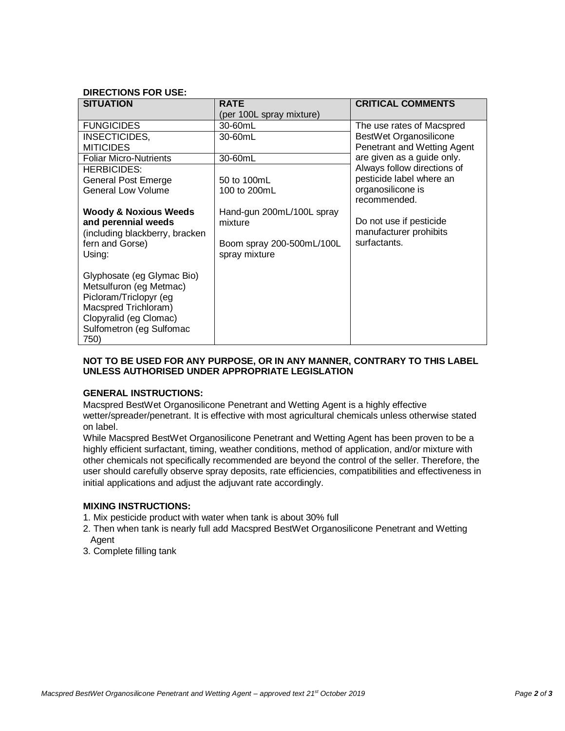# **DIRECTIONS FOR USE:**

| <b>SITUATION</b>                 | <b>RATE</b>               | <b>CRITICAL COMMENTS</b>    |
|----------------------------------|---------------------------|-----------------------------|
|                                  | (per 100L spray mixture)  |                             |
| <b>FUNGICIDES</b>                | 30-60mL                   | The use rates of Macspred   |
| INSECTICIDES.                    | 30-60mL                   | BestWet Organosilicone      |
| <b>MITICIDES</b>                 |                           | Penetrant and Wetting Agent |
| <b>Foliar Micro-Nutrients</b>    | 30-60mL                   | are given as a guide only.  |
| <b>HERBICIDES:</b>               |                           | Always follow directions of |
| <b>General Post Emerge</b>       | 50 to 100mL               | pesticide label where an    |
| <b>General Low Volume</b>        | 100 to 200mL              | organosilicone is           |
|                                  |                           | recommended.                |
| <b>Woody &amp; Noxious Weeds</b> | Hand-gun 200mL/100L spray |                             |
| and perennial weeds              | mixture                   | Do not use if pesticide     |
| (including blackberry, bracken   |                           | manufacturer prohibits      |
| fern and Gorse)                  | Boom spray 200-500mL/100L | surfactants.                |
| Using:                           | spray mixture             |                             |
|                                  |                           |                             |
| Glyphosate (eg Glymac Bio)       |                           |                             |
| Metsulfuron (eg Metmac)          |                           |                             |
| Picloram/Triclopyr (eg           |                           |                             |
| Macspred Trichloram)             |                           |                             |
| Clopyralid (eg Clomac)           |                           |                             |
| Sulfometron (eg Sulfomac         |                           |                             |
| 750)                             |                           |                             |

## **NOT TO BE USED FOR ANY PURPOSE, OR IN ANY MANNER, CONTRARY TO THIS LABEL UNLESS AUTHORISED UNDER APPROPRIATE LEGISLATION**

## **GENERAL INSTRUCTIONS:**

Macspred BestWet Organosilicone Penetrant and Wetting Agent is a highly effective wetter/spreader/penetrant. It is effective with most agricultural chemicals unless otherwise stated on label.

While Macspred BestWet Organosilicone Penetrant and Wetting Agent has been proven to be a highly efficient surfactant, timing, weather conditions, method of application, and/or mixture with other chemicals not specifically recommended are beyond the control of the seller. Therefore, the user should carefully observe spray deposits, rate efficiencies, compatibilities and effectiveness in initial applications and adjust the adjuvant rate accordingly.

## **MIXING INSTRUCTIONS:**

- 1. Mix pesticide product with water when tank is about 30% full
- 2. Then when tank is nearly full add Macspred BestWet Organosilicone Penetrant and Wetting Agent
- 3. Complete filling tank